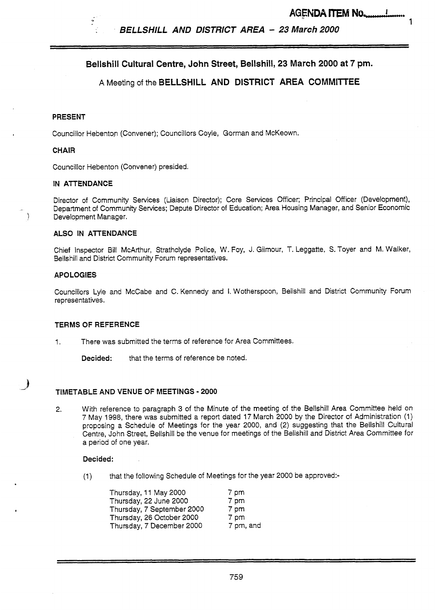*BELLSHILL AND DISTRICT AREA* - **<sup>23</sup>***March 2000* 

# **Bellshill Cultural Centre, John Street, Bellshill, 23 March 2000 at 7 pm.**

# **<sup>A</sup>**Meeting of the **BELLSHILL AND DISTRICT AREA COMMIlTEE**

#### **PRESENT**

Councillor Hebenton (Convener); Councillors Coyle, Gorman and McKeown.

#### **CHAIR**

Councillor Hebenton (Convener) presided.

#### **IN ATTENDANCE**

Director of Community Services (Liaison Director); Core Services Officer; Principal Officer (Development), Department of Community Services; Depute Director of Education; Area Housing Manager, and Senior Economic Development Manager.

#### **ALSO IN ATTENDANCE**

Chief Inspector Bill McArthur, Strathclyde Police, W. Foy, J. Gilmour, T. Leggatte, **S.** Toyer and M. Walker, Bellshill and District Community Forum representatives.

#### **APO LOGlES**

**J \_d** 

Councillors Lyle and McCabe and C. Kennedy and **I.** Wotherspoon, Bellshill and District Community Forum representatives.

#### **TERMS OF REFERENCE**

1. There was submitted the terms of reference for Area Committees.

**Decided:** that the terms of reference be noted.

#### **TIMETABLE AND VENUE OF MEETINGS** - **2000**

**2.** With reference to paragraph **3** of the Minute of the meeting of the Bellshill Area Committee held on *7* May 1998, there was submitted a report dated 17 March 2000 by the Director of Administration (1) proposing a Schedule of Meetings for the year 2000, and **(2)** suggesting that the Bellshill Cultural Centre, John Street, Bellshill be the venue for meetings of the Bellshill and District Area Committee for a period of one year.

#### **Decided:**

(1) that the following Schedule of Meetings for the year 2000 be approved:-

| Thursday, 11 May 2000      | 7 pm      |
|----------------------------|-----------|
| Thursday, 22 June 2000     | 7 pm      |
| Thursday, 7 September 2000 | 7 pm      |
| Thursday, 26 October 2000  | 7 pm      |
| Thursday, 7 December 2000  | 7 pm, and |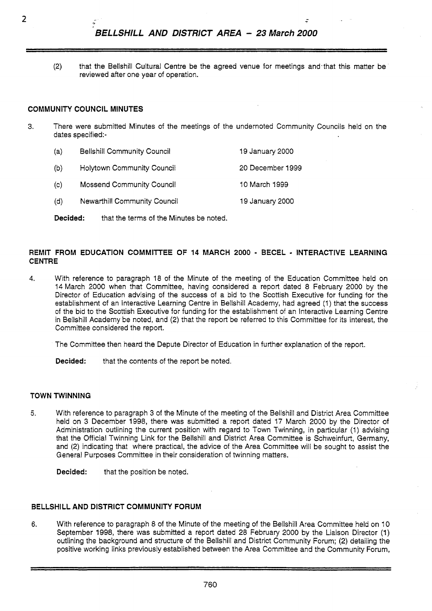(2) that the Bellshill Cultural Centre be the agreed venue for meetings and.that this matter be reviewed after one year of operation.

### **COMMUNITY COUNCIL MINUTES**

- **3.** There were submitted Minutes of the meetings of the undernoted Community Councils held on the dates specified:-
	- (a) Bellshill Community Council 19 January 2000
	- (b) Holytown Community Council 20 December 1999
	- (c) Mossend Community Council 10 March 1999
	- (d) Newarthill Community Council 19 January 2000

**Decided:** that the terms of the Minutes be noted.

#### **REMIT FROM EDUCATION COMMITTEE OF** 14 **MARCH 2000** - **BECEL** - **INTERACTIVE LEARNING CENTRE**

- **4.** With reference to paragraph 18 of the Minute of the meeting of the Education Committee held on **14** March 2000 when that committee, having considered a report dated 8 February 2000 by the Director of Education advising of the success of a bid to the Scottish Executive for funding for the establishment of an Interactive Learning Centre in Bellshill Academy, had agreed (1) that the success of the bid to the Scottish Executive for funding for the establishment of an Interactive Learning Centre in Bellshill Academy be noted, and **(2)** that the report be referred to this Committee for its interest, the Committee considered the report.
	- The Committee then heard the Depute Director of Education in further explanation of the report.
	- **Decided:** that the contents of the report be noted.

#### **TOWN TWINNING**

**5.** With reference to paragraph 3 of the Minute of the meeting of the Bellshill and District Area Committee held on 3 December 1998, there was submitted a report dated 17 March 2000 by the Director of Administration outlining the current position with regard to Town Twinning, in particular (1) advising that the Official Twinning Link for the Bellshill and District Area Committee is Schweinfurt, Germany, and (2) indicating that where practical, the advice of the Area Committee will be sought to assist the General Purposes Committee in their consideration of twinning matters.

**Decided:** that the position be noted.

# **BELLSHILL AND DISTRICT COMMUNITY FORUM**

**6.** With reference to paragraph 8 of the Minute of the meeting of the Bellshill Area Committee held on 10 September 1998, there was submitted a report dated 28 February 2000 by the Liaison Director (1) outlining the background and structure of the Bellshill and District Community Forum; (2) detailing the positive working links previously established between the Area Committee and the Community Forum,